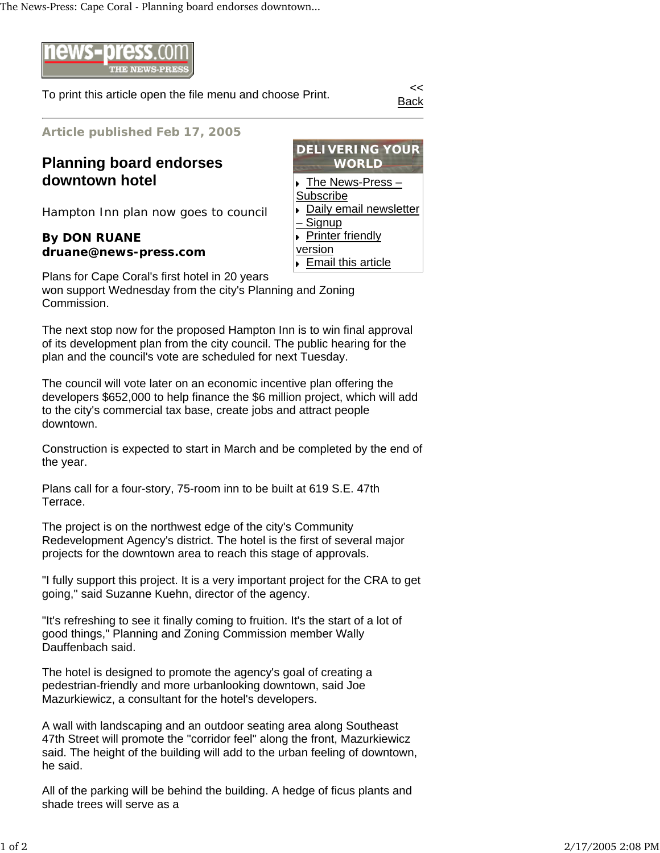The News-Press: Cape Coral - Planning board endorses downtown...



To print this article open the file menu and choose Print.

Back

**Article published Feb 17, 2005**

**Planning board endorses downtown hotel**

Hampton Inn plan now goes to council

## **By DON RUANE druane@news-press.com**



Plans for Cape Coral's first hotel in 20 years won support Wednesday from the city's Planning and Zoning Commission.

The next stop now for the proposed Hampton Inn is to win final approval of its development plan from the city council. The public hearing for the plan and the council's vote are scheduled for next Tuesday.

The council will vote later on an economic incentive plan offering the developers \$652,000 to help finance the \$6 million project, which will add to the city's commercial tax base, create jobs and attract people downtown.

Construction is expected to start in March and be completed by the end of the year.

Plans call for a four-story, 75-room inn to be built at 619 S.E. 47th Terrace.

The project is on the northwest edge of the city's Community Redevelopment Agency's district. The hotel is the first of several major projects for the downtown area to reach this stage of approvals.

"I fully support this project. It is a very important project for the CRA to get going," said Suzanne Kuehn, director of the agency.

"It's refreshing to see it finally coming to fruition. It's the start of a lot of good things," Planning and Zoning Commission member Wally Dauffenbach said.

The hotel is designed to promote the agency's goal of creating a pedestrian-friendly and more urbanlooking downtown, said Joe Mazurkiewicz, a consultant for the hotel's developers.

A wall with landscaping and an outdoor seating area along Southeast 47th Street will promote the "corridor feel" along the front, Mazurkiewicz said. The height of the building will add to the urban feeling of downtown, he said.

All of the parking will be behind the building. A hedge of ficus plants and shade trees will serve as a